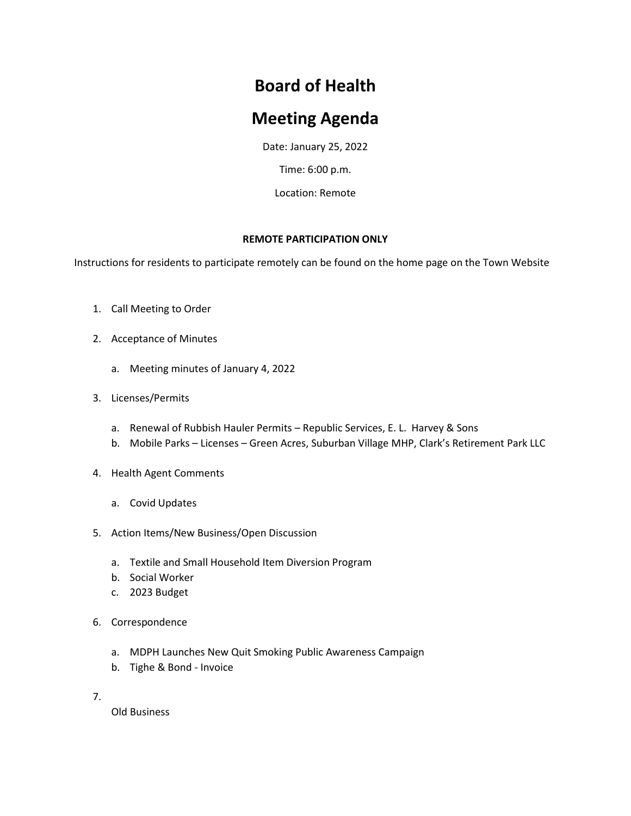## **Board of Health**

## **Meeting Agenda**

Date: January 25, 2022

Time: 6:00 p.m.

Location: Remote

## **REMOTE PARTICIPATION ONLY**

Instructions for residents to participate remotely can be found on the home page on the Town Website

- 1. Call Meeting to Order
- 2. Acceptance of Minutes
	- a. Meeting minutes of January 4, 2022
- 3. Licenses/Permits
	- a. Renewal of Rubbish Hauler Permits Republic Services, E. L. Harvey & Sons
	- b. Mobile Parks Licenses Green Acres, Suburban Village MHP, Clark's Retirement Park LLC
- 4. Health Agent Comments
	- a. Covid Updates
- 5. Action Items/New Business/Open Discussion
	- a. Textile and Small Household Item Diversion Program
	- b. Social Worker
	- c. 2023 Budget
- 6. Correspondence
	- a. MDPH Launches New Quit Smoking Public Awareness Campaign
	- b. Tighe & Bond Invoice
- 7.

Old Business